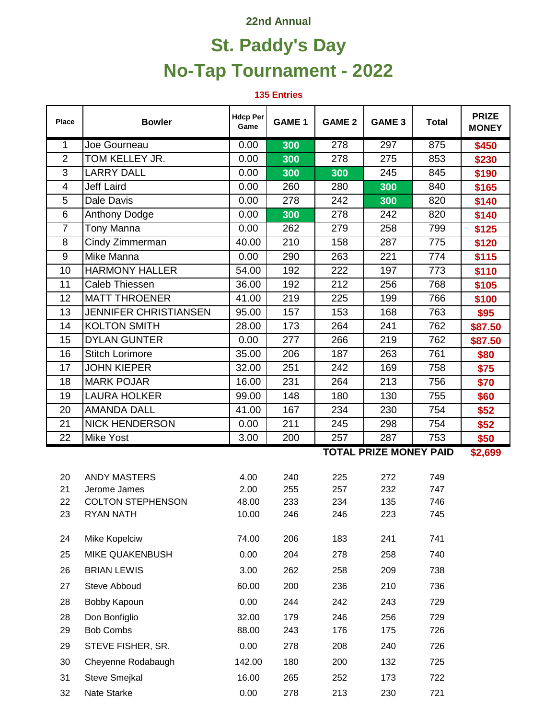## **22nd Annual**

## **St. Paddy's Day No-Tap Tournament - 2022**

**135 Entries**

| <b>Place</b>   | <b>Bowler</b>                | <b>Hdcp Per</b><br>Game | <b>GAME 1</b> | <b>GAME 2</b>                            | GAME <sub>3</sub> | <b>Total</b> | <b>PRIZE</b><br><b>MONEY</b> |  |  |
|----------------|------------------------------|-------------------------|---------------|------------------------------------------|-------------------|--------------|------------------------------|--|--|
| 1              | Joe Gourneau                 | 0.00                    | 300           | $\overline{278}$                         | 297               | 875          | \$450                        |  |  |
| $\overline{2}$ | TOM KELLEY JR.               | 0.00                    | 300           | 278                                      | 275               | 853          | \$230                        |  |  |
| 3              | <b>LARRY DALL</b>            | 0.00                    | 300           | 300                                      | 245               | 845          | \$190                        |  |  |
| 4              | <b>Jeff Laird</b>            | 0.00                    | 260           | 280                                      | 300               | 840          | \$165                        |  |  |
| 5              | Dale Davis                   | 0.00                    | 278           | 242                                      | 300               | 820          | \$140                        |  |  |
| 6              | <b>Anthony Dodge</b>         | 0.00                    | 300           | 278                                      | 242               | 820          | \$140                        |  |  |
| $\overline{7}$ | <b>Tony Manna</b>            | 0.00                    | 262           | 279                                      | 258               | 799          | \$125                        |  |  |
| 8              | Cindy Zimmerman              | 40.00                   | 210           | 158                                      | 287               | 775          | \$120                        |  |  |
| 9              | Mike Manna                   | 0.00                    | 290           | 263                                      | 221               | 774          | \$115                        |  |  |
| 10             | <b>HARMONY HALLER</b>        | 54.00                   | 192           | 222                                      | 197               | 773          | \$110                        |  |  |
| 11             | Caleb Thiessen               | 36.00                   | 192           | 212                                      | 256               | 768          | \$105                        |  |  |
| 12             | <b>MATT THROENER</b>         | 41.00                   | 219           | 225                                      | 199               | 766          | \$100                        |  |  |
| 13             | <b>JENNIFER CHRISTIANSEN</b> | 95.00                   | 157           | 153                                      | 168               | 763          | \$95                         |  |  |
| 14             | <b>KOLTON SMITH</b>          | 28.00                   | 173           | 264                                      | 241               | 762          | \$87.50                      |  |  |
| 15             | <b>DYLAN GUNTER</b>          | 0.00                    | 277           | 266                                      | 219               | 762          | \$87.50                      |  |  |
| 16             | <b>Stitch Lorimore</b>       | 35.00                   | 206           | 187                                      | 263               | 761          | \$80                         |  |  |
| 17             | <b>JOHN KIEPER</b>           | 32.00                   | 251           | 242                                      | 169               | 758          | \$75                         |  |  |
| 18             | <b>MARK POJAR</b>            | 16.00                   | 231           | 264                                      | 213               | 756          | \$70                         |  |  |
| 19             | <b>LAURA HOLKER</b>          | 99.00                   | 148           | 180                                      | 130               | 755          | \$60                         |  |  |
| 20             | <b>AMANDA DALL</b>           | 41.00                   | 167           | 234                                      | 230               | 754          | \$52                         |  |  |
| 21             | <b>NICK HENDERSON</b>        | 0.00                    | 211           | 245                                      | 298               | 754          | \$52                         |  |  |
| 22             | <b>Mike Yost</b>             | 3.00                    | 200           | 257                                      | 287               | 753          | \$50                         |  |  |
|                |                              |                         |               | <b>TOTAL PRIZE MONEY PAID</b><br>\$2,699 |                   |              |                              |  |  |
| 20             | <b>ANDY MASTERS</b>          | 4.00                    | 240           | 225                                      | 272               | 749          |                              |  |  |
| 21             | Jerome James                 | 2.00                    | 255           | 257                                      | 232               | 747          |                              |  |  |
| 22             | <b>COLTON STEPHENSON</b>     | 48.00                   | 233           | 234                                      | 135               | 746          |                              |  |  |
| 23             | RYAN NATH                    | 10.00                   | 246           | 246                                      | 223               | 745          |                              |  |  |
| 24             | Mike Kopelciw                | 74.00                   | 206           | 183                                      | 241               | 741          |                              |  |  |
| 25             | MIKE QUAKENBUSH              | 0.00                    | 204           | 278                                      | 258               | 740          |                              |  |  |
| 26             | <b>BRIAN LEWIS</b>           | 3.00                    | 262           | 258                                      | 209               | 738          |                              |  |  |
| 27             | Steve Abboud                 | 60.00                   | 200           | 236                                      | 210               | 736          |                              |  |  |
| 28             | Bobby Kapoun                 | 0.00                    | 244           | 242                                      | 243               | 729          |                              |  |  |
| 28             | Don Bonfiglio                | 32.00                   | 179           | 246                                      | 256               | 729          |                              |  |  |
| 29             | <b>Bob Combs</b>             | 88.00                   | 243           | 176                                      | 175               | 726          |                              |  |  |
| 29             | STEVE FISHER, SR.            | 0.00                    | 278           | 208                                      | 240               | 726          |                              |  |  |
| 30             | Cheyenne Rodabaugh           | 142.00                  | 180           | 200                                      | 132               | 725          |                              |  |  |
| 31             | Steve Smejkal                | 16.00                   | 265           | 252                                      | 173               | 722          |                              |  |  |
| 32             | Nate Starke                  | 0.00                    | 278           | 213                                      | 230               | 721          |                              |  |  |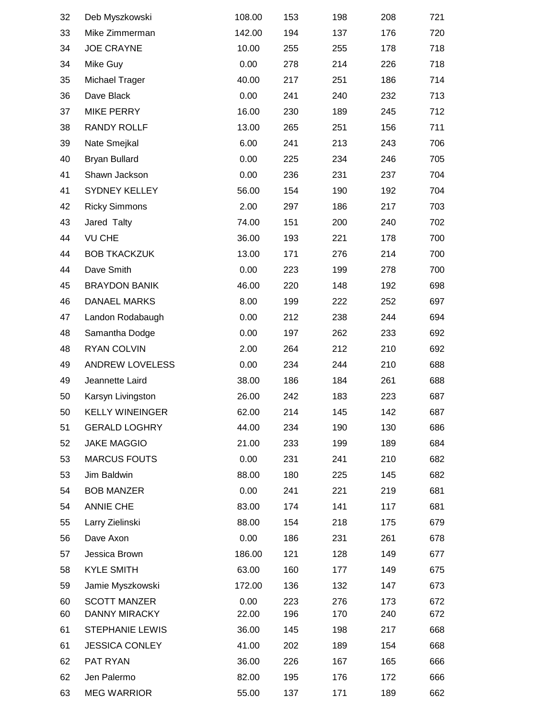| 32 | Deb Myszkowski         | 108.00 | 153 | 198 | 208 | 721 |
|----|------------------------|--------|-----|-----|-----|-----|
| 33 | Mike Zimmerman         | 142.00 | 194 | 137 | 176 | 720 |
| 34 | <b>JOE CRAYNE</b>      | 10.00  | 255 | 255 | 178 | 718 |
| 34 | Mike Guy               | 0.00   | 278 | 214 | 226 | 718 |
| 35 | Michael Trager         | 40.00  | 217 | 251 | 186 | 714 |
| 36 | Dave Black             | 0.00   | 241 | 240 | 232 | 713 |
| 37 | <b>MIKE PERRY</b>      | 16.00  | 230 | 189 | 245 | 712 |
| 38 | RANDY ROLLF            | 13.00  | 265 | 251 | 156 | 711 |
| 39 | Nate Smejkal           | 6.00   | 241 | 213 | 243 | 706 |
| 40 | <b>Bryan Bullard</b>   | 0.00   | 225 | 234 | 246 | 705 |
| 41 | Shawn Jackson          | 0.00   | 236 | 231 | 237 | 704 |
| 41 | SYDNEY KELLEY          | 56.00  | 154 | 190 | 192 | 704 |
| 42 | <b>Ricky Simmons</b>   | 2.00   | 297 | 186 | 217 | 703 |
| 43 | Jared Talty            | 74.00  | 151 | 200 | 240 | 702 |
| 44 | <b>VU CHE</b>          | 36.00  | 193 | 221 | 178 | 700 |
| 44 | <b>BOB TKACKZUK</b>    | 13.00  | 171 | 276 | 214 | 700 |
| 44 | Dave Smith             | 0.00   | 223 | 199 | 278 | 700 |
| 45 | <b>BRAYDON BANIK</b>   | 46.00  | 220 | 148 | 192 | 698 |
| 46 | <b>DANAEL MARKS</b>    | 8.00   | 199 | 222 | 252 | 697 |
| 47 | Landon Rodabaugh       | 0.00   | 212 | 238 | 244 | 694 |
| 48 | Samantha Dodge         | 0.00   | 197 | 262 | 233 | 692 |
| 48 | <b>RYAN COLVIN</b>     | 2.00   | 264 | 212 | 210 | 692 |
| 49 | ANDREW LOVELESS        | 0.00   | 234 | 244 | 210 | 688 |
| 49 | Jeannette Laird        | 38.00  | 186 | 184 | 261 | 688 |
| 50 | Karsyn Livingston      | 26.00  | 242 | 183 | 223 | 687 |
| 50 | <b>KELLY WINEINGER</b> | 62.00  | 214 | 145 | 142 | 687 |
| 51 | <b>GERALD LOGHRY</b>   | 44.00  | 234 | 190 | 130 | 686 |
| 52 | <b>JAKE MAGGIO</b>     | 21.00  | 233 | 199 | 189 | 684 |
| 53 | <b>MARCUS FOUTS</b>    | 0.00   | 231 | 241 | 210 | 682 |
| 53 | Jim Baldwin            | 88.00  | 180 | 225 | 145 | 682 |
| 54 | <b>BOB MANZER</b>      | 0.00   | 241 | 221 | 219 | 681 |
| 54 | <b>ANNIE CHE</b>       | 83.00  | 174 | 141 | 117 | 681 |
| 55 | Larry Zielinski        | 88.00  | 154 | 218 | 175 | 679 |
| 56 | Dave Axon              | 0.00   | 186 | 231 | 261 | 678 |
| 57 | Jessica Brown          | 186.00 | 121 | 128 | 149 | 677 |
| 58 | <b>KYLE SMITH</b>      | 63.00  | 160 | 177 | 149 | 675 |
| 59 | Jamie Myszkowski       | 172.00 | 136 | 132 | 147 | 673 |
| 60 | <b>SCOTT MANZER</b>    | 0.00   | 223 | 276 | 173 | 672 |
| 60 | <b>DANNY MIRACKY</b>   | 22.00  | 196 | 170 | 240 | 672 |
| 61 | <b>STEPHANIE LEWIS</b> | 36.00  | 145 | 198 | 217 | 668 |
| 61 | <b>JESSICA CONLEY</b>  | 41.00  | 202 | 189 | 154 | 668 |
| 62 | PAT RYAN               | 36.00  | 226 | 167 | 165 | 666 |
| 62 | Jen Palermo            | 82.00  | 195 | 176 | 172 | 666 |
| 63 | <b>MEG WARRIOR</b>     | 55.00  | 137 | 171 | 189 | 662 |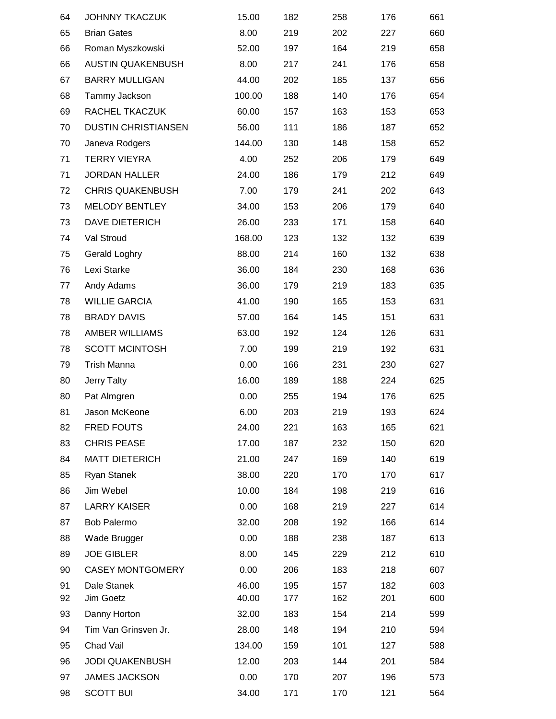| 64 | <b>JOHNNY TKACZUK</b>      | 15.00  | 182 | 258 | 176 | 661 |
|----|----------------------------|--------|-----|-----|-----|-----|
| 65 | <b>Brian Gates</b>         | 8.00   | 219 | 202 | 227 | 660 |
| 66 | Roman Myszkowski           | 52.00  | 197 | 164 | 219 | 658 |
| 66 | <b>AUSTIN QUAKENBUSH</b>   | 8.00   | 217 | 241 | 176 | 658 |
| 67 | <b>BARRY MULLIGAN</b>      | 44.00  | 202 | 185 | 137 | 656 |
| 68 | Tammy Jackson              | 100.00 | 188 | 140 | 176 | 654 |
| 69 | RACHEL TKACZUK             | 60.00  | 157 | 163 | 153 | 653 |
| 70 | <b>DUSTIN CHRISTIANSEN</b> | 56.00  | 111 | 186 | 187 | 652 |
| 70 | Janeva Rodgers             | 144.00 | 130 | 148 | 158 | 652 |
| 71 | <b>TERRY VIEYRA</b>        | 4.00   | 252 | 206 | 179 | 649 |
| 71 | <b>JORDAN HALLER</b>       | 24.00  | 186 | 179 | 212 | 649 |
| 72 | <b>CHRIS QUAKENBUSH</b>    | 7.00   | 179 | 241 | 202 | 643 |
| 73 | <b>MELODY BENTLEY</b>      | 34.00  | 153 | 206 | 179 | 640 |
| 73 | <b>DAVE DIETERICH</b>      | 26.00  | 233 | 171 | 158 | 640 |
| 74 | Val Stroud                 | 168.00 | 123 | 132 | 132 | 639 |
| 75 | Gerald Loghry              | 88.00  | 214 | 160 | 132 | 638 |
| 76 | Lexi Starke                | 36.00  | 184 | 230 | 168 | 636 |
| 77 | Andy Adams                 | 36.00  | 179 | 219 | 183 | 635 |
| 78 | <b>WILLIE GARCIA</b>       | 41.00  | 190 | 165 | 153 | 631 |
| 78 | <b>BRADY DAVIS</b>         | 57.00  | 164 | 145 | 151 | 631 |
| 78 | AMBER WILLIAMS             | 63.00  | 192 | 124 | 126 | 631 |
| 78 | <b>SCOTT MCINTOSH</b>      | 7.00   | 199 | 219 | 192 | 631 |
| 79 | <b>Trish Manna</b>         | 0.00   | 166 | 231 | 230 | 627 |
| 80 | <b>Jerry Talty</b>         | 16.00  | 189 | 188 | 224 | 625 |
| 80 | Pat Almgren                | 0.00   | 255 | 194 | 176 | 625 |
| 81 | Jason McKeone              | 6.00   | 203 | 219 | 193 | 624 |
| 82 | <b>FRED FOUTS</b>          | 24.00  | 221 | 163 | 165 | 621 |
| 83 | <b>CHRIS PEASE</b>         | 17.00  | 187 | 232 | 150 | 620 |
| 84 | <b>MATT DIETERICH</b>      | 21.00  | 247 | 169 | 140 | 619 |
| 85 | Ryan Stanek                | 38.00  | 220 | 170 | 170 | 617 |
| 86 | Jim Webel                  | 10.00  | 184 | 198 | 219 | 616 |
| 87 | <b>LARRY KAISER</b>        | 0.00   | 168 | 219 | 227 | 614 |
| 87 | <b>Bob Palermo</b>         | 32.00  | 208 | 192 | 166 | 614 |
| 88 | Wade Brugger               | 0.00   | 188 | 238 | 187 | 613 |
| 89 | <b>JOE GIBLER</b>          | 8.00   | 145 | 229 | 212 | 610 |
| 90 | <b>CASEY MONTGOMERY</b>    | 0.00   | 206 | 183 | 218 | 607 |
| 91 | Dale Stanek                | 46.00  | 195 | 157 | 182 | 603 |
| 92 | Jim Goetz                  | 40.00  | 177 | 162 | 201 | 600 |
| 93 | Danny Horton               | 32.00  | 183 | 154 | 214 | 599 |
| 94 | Tim Van Grinsven Jr.       | 28.00  | 148 | 194 | 210 | 594 |
| 95 | Chad Vail                  | 134.00 | 159 | 101 | 127 | 588 |
| 96 | <b>JODI QUAKENBUSH</b>     | 12.00  | 203 | 144 | 201 | 584 |
| 97 | <b>JAMES JACKSON</b>       | 0.00   | 170 | 207 | 196 | 573 |
| 98 | <b>SCOTT BUI</b>           | 34.00  | 171 | 170 | 121 | 564 |